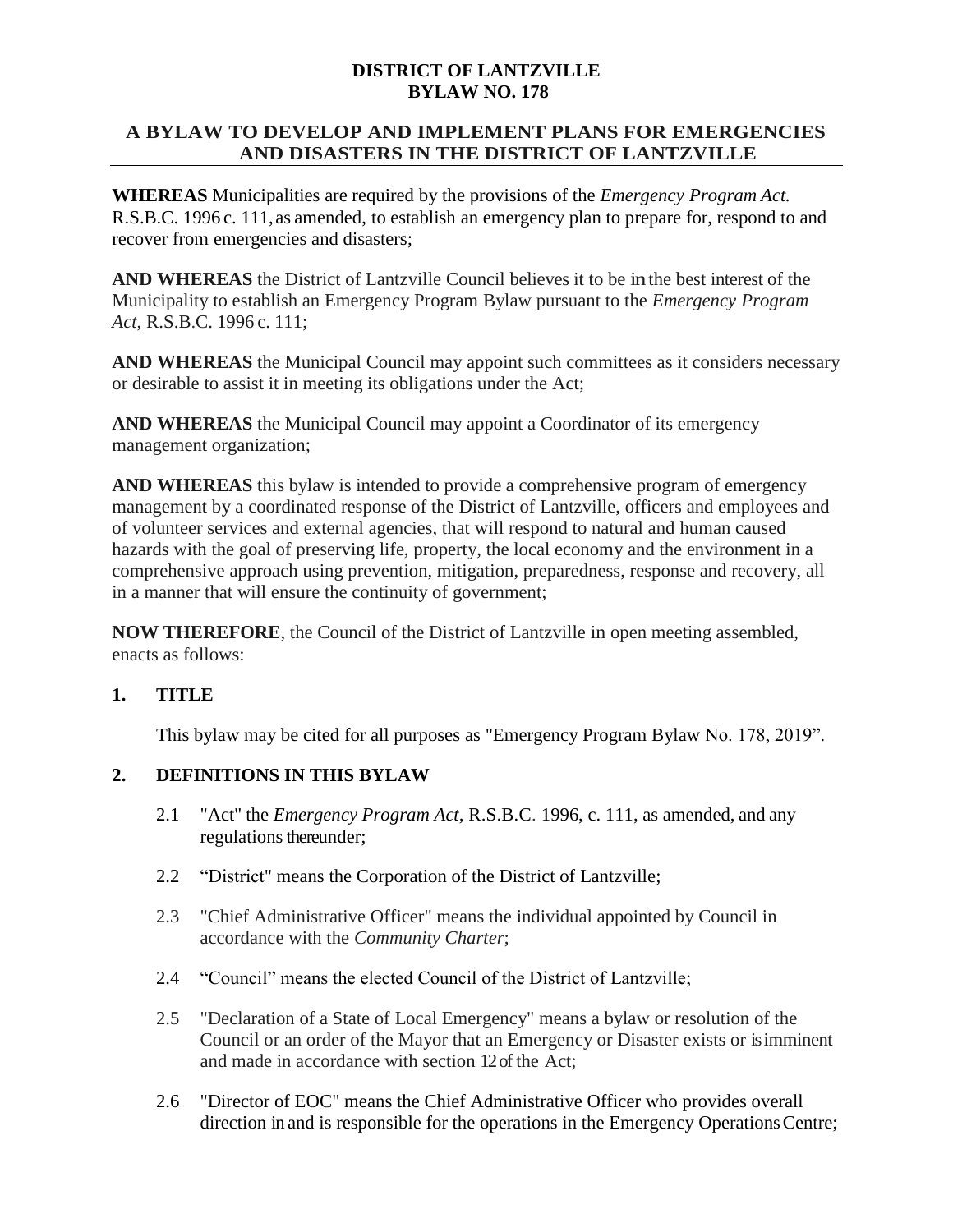### **DISTRICT OF LANTZVILLE BYLAW NO. 178**

### **A BYLAW TO DEVELOP AND IMPLEMENT PLANS FOR EMERGENCIES AND DISASTERS IN THE DISTRICT OF LANTZVILLE**

**WHEREAS** Municipalities are required by the provisions of the *Emergency Program Act.* R.S.B.C. 1996 c. 111,as amended, to establish an emergency plan to prepare for, respond to and recover from emergencies and disasters;

**AND WHEREAS** the District of Lantzville Council believes it to be in the best interest of the Municipality to establish an Emergency Program Bylaw pursuant to the *Emergency Program Act*, R.S.B.C. 1996 c. 111;

**AND WHEREAS** the Municipal Council may appoint such committees as it considers necessary or desirable to assist it in meeting its obligations under the Act;

**AND WHEREAS** the Municipal Council may appoint a Coordinator of its emergency management organization;

**AND WHEREAS** this bylaw is intended to provide a comprehensive program of emergency management by a coordinated response of the District of Lantzville, officers and employees and of volunteer services and external agencies, that will respond to natural and human caused hazards with the goal of preserving life, property, the local economy and the environment in a comprehensive approach using prevention, mitigation, preparedness, response and recovery, all in a manner that will ensure the continuity of government;

**NOW THEREFORE**, the Council of the District of Lantzville in open meeting assembled, enacts as follows:

## **1. TITLE**

This bylaw may be cited for all purposes as "Emergency Program Bylaw No. 178, 2019".

## **2. DEFINITIONS IN THIS BYLAW**

- 2.1 "Act'' the *Emergency Program Act,* R.S.B.C. 1996, c. 111, as amended, and any regulations thereunder;
- 2.2 "District" means the Corporation of the District of Lantzville;
- 2.3 "Chief Administrative Officer" means the individual appointed by Council in accordance with the *Community Charter*;
- 2.4 "Council" means the elected Council of the District of Lantzville;
- 2.5 "Declaration of a State of Local Emergency" means a bylaw or resolution of the Council or an order of the Mayor that an Emergency or Disaster exists or is imminent and made in accordance with section 12 of the Act;
- 2.6 "Director of EOC" means the Chief Administrative Officer who provides overall direction in and is responsible for the operations in the Emergency Operations Centre;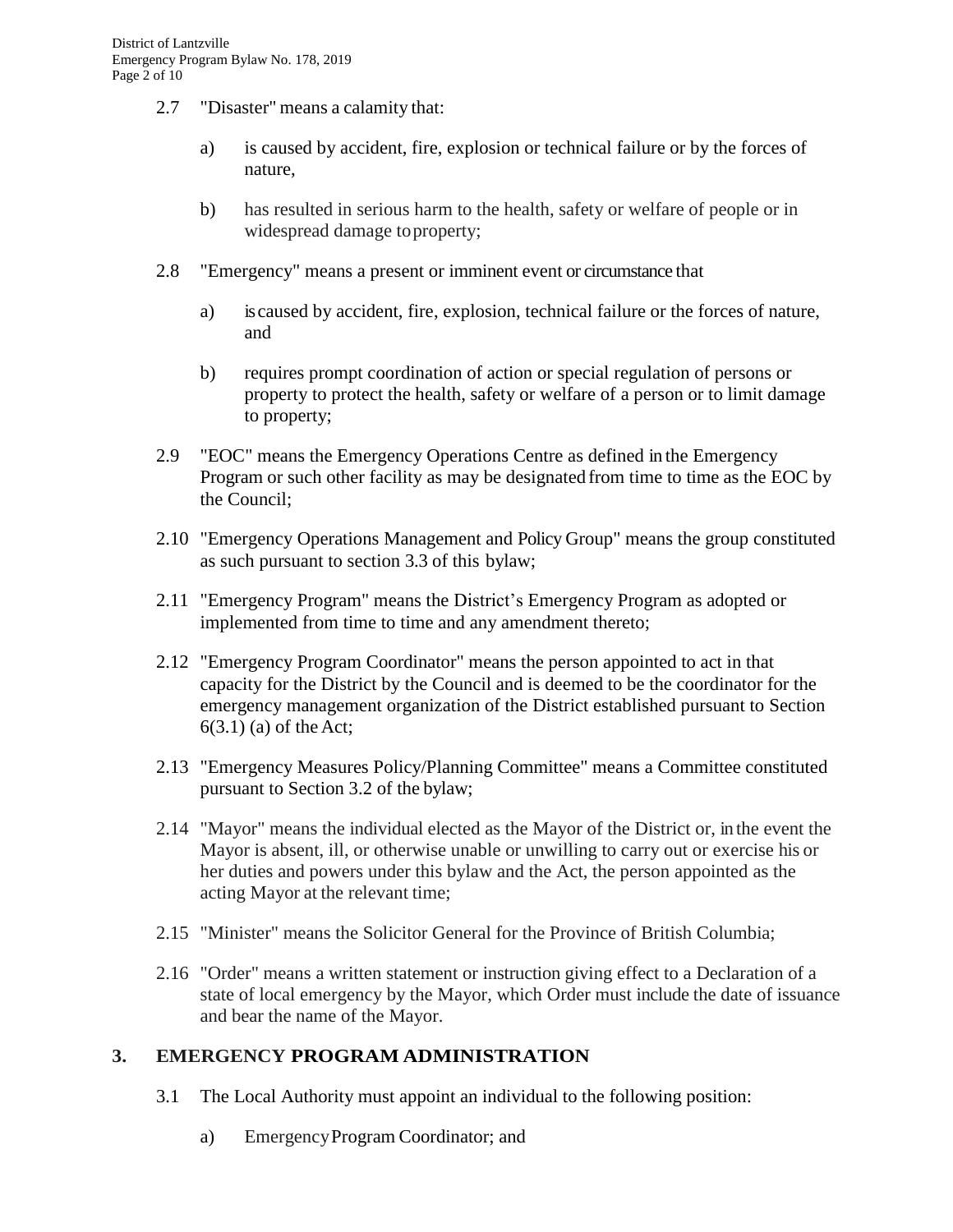- 2.7 "Disaster" means a calamity that:
	- a) is caused by accident, fire, explosion or technical failure or by the forces of nature,
	- b) has resulted in serious harm to the health, safety or welfare of people or in widespread damage toproperty;
- 2.8 "Emergency" means a present or imminent event or circumstance that
	- a) is caused by accident, fire, explosion, technical failure or the forces of nature, and
	- b) requires prompt coordination of action or special regulation of persons or property to protect the health, safety or welfare of a person or to limit damage to property;
- 2.9 "EOC" means the Emergency Operations Centre as defined in the Emergency Program or such other facility as may be designated from time to time as the EOC by the Council;
- 2.10 "Emergency Operations Management and Policy Group" means the group constituted as such pursuant to section 3.3 of this bylaw;
- 2.11 "Emergency Program" means the District's Emergency Program as adopted or implemented from time to time and any amendment thereto;
- 2.12 "Emergency Program Coordinator" means the person appointed to act in that capacity for the District by the Council and is deemed to be the coordinator for the emergency management organization of the District established pursuant to Section 6(3.1) (a) of the Act;
- 2.13 "Emergency Measures Policy/Planning Committee" means a Committee constituted pursuant to Section 3.2 of the bylaw;
- 2.14 "Mayor" means the individual elected as the Mayor of the District or, in the event the Mayor is absent, ill, or otherwise unable or unwilling to carry out or exercise his or her duties and powers under this bylaw and the Act, the person appointed as the acting Mayor at the relevant time;
- 2.15 "Minister" means the Solicitor General for the Province of British Columbia;
- 2.16 "Order" means a written statement or instruction giving effect to a Declaration of a state of local emergency by the Mayor, which Order must include the date of issuance and bear the name of the Mayor.

## **3. EMERGENCY PROGRAM ADMINISTRATION**

- 3.1 The Local Authority must appoint an individual to the following position:
	- a) EmergencyProgram Coordinator; and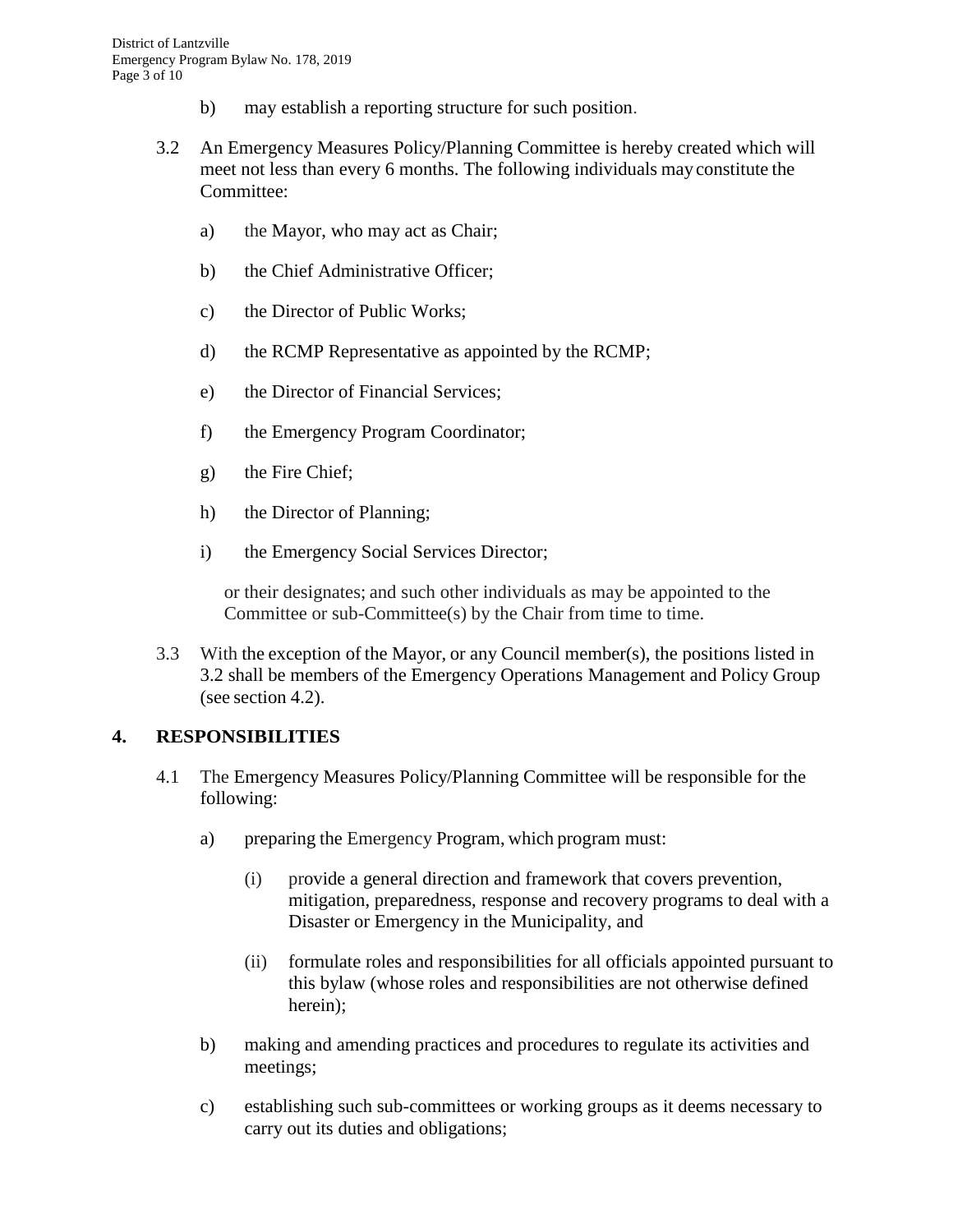- b) may establish a reporting structure for such position.
- 3.2 An Emergency Measures Policy/Planning Committee is hereby created which will meet not less than every 6 months. The following individuals may constitute the Committee:
	- a) the Mayor, who may act as Chair;
	- b) the Chief Administrative Officer;
	- c) the Director of Public Works;
	- d) the RCMP Representative as appointed by the RCMP;
	- e) the Director of Financial Services;
	- f) the Emergency Program Coordinator;
	- g) the Fire Chief;
	- h) the Director of Planning;
	- i) the Emergency Social Services Director;

or their designates; and such other individuals as may be appointed to the Committee or sub-Committee(s) by the Chair from time to time.

3.3 With the exception of the Mayor, or any Council member(s), the positions listed in 3.2 shall be members of the Emergency Operations Management and Policy Group (see section 4.2).

## **4. RESPONSIBILITIES**

- 4.1 The Emergency Measures Policy/Planning Committee will be responsible for the following:
	- a) preparing the Emergency Program, which program must:
		- (i) provide a general direction and framework that covers prevention, mitigation, preparedness, response and recovery programs to deal with a Disaster or Emergency in the Municipality, and
		- (ii) formulate roles and responsibilities for all officials appointed pursuant to this bylaw (whose roles and responsibilities are not otherwise defined herein);
	- b) making and amending practices and procedures to regulate its activities and meetings;
	- c) establishing such sub-committees or working groups as it deems necessary to carry out its duties and obligations;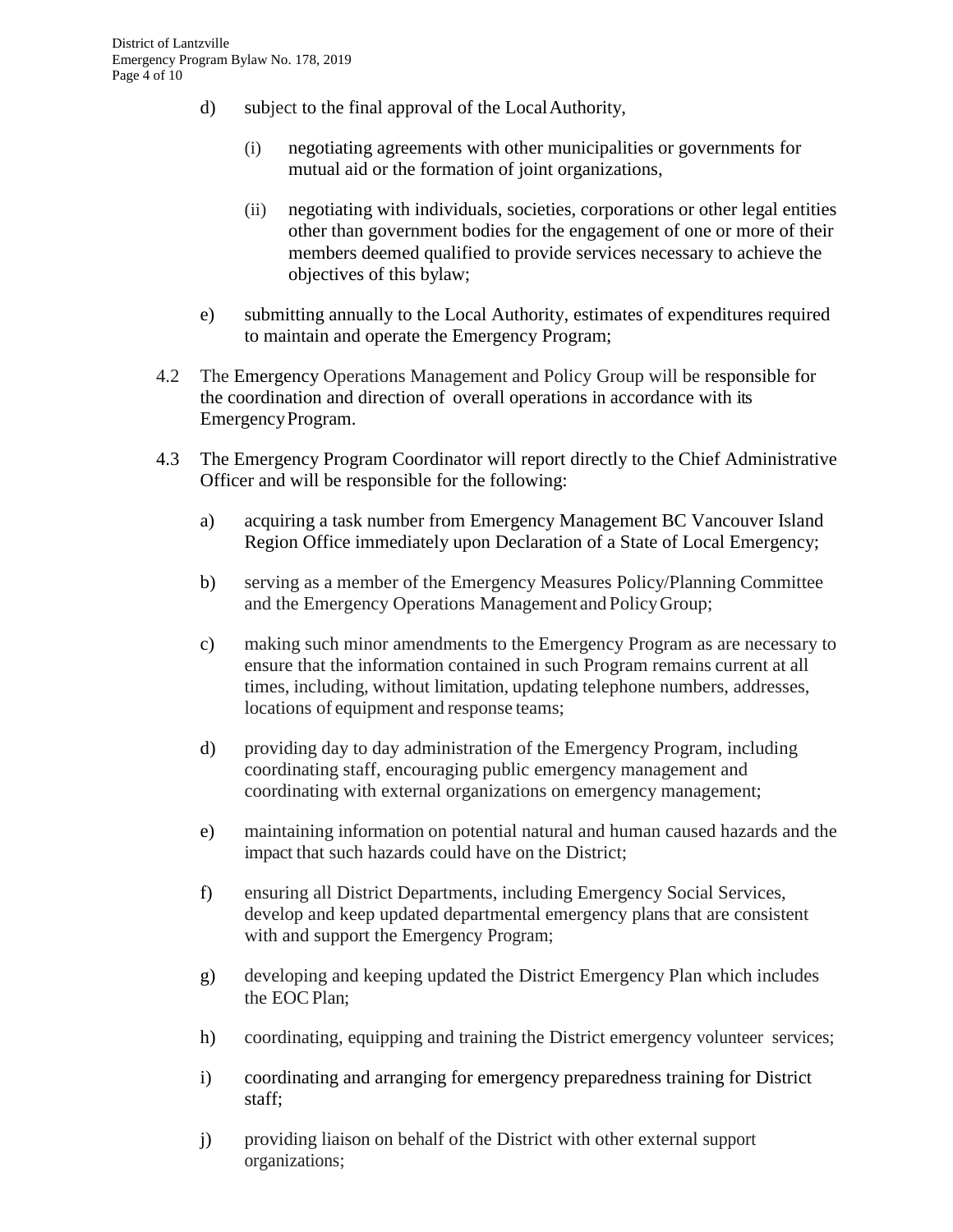- d) subject to the final approval of the LocalAuthority,
	- (i) negotiating agreements with other municipalities or governments for mutual aid or the formation of joint organizations,
	- (ii) negotiating with individuals, societies, corporations or other legal entities other than government bodies for the engagement of one or more of their members deemed qualified to provide services necessary to achieve the objectives of this bylaw;
- e) submitting annually to the Local Authority, estimates of expenditures required to maintain and operate the Emergency Program;
- 4.2 The Emergency Operations Management and Policy Group will be responsible for the coordination and direction of overall operations in accordance with its EmergencyProgram.
- 4.3 The Emergency Program Coordinator will report directly to the Chief Administrative Officer and will be responsible for the following:
	- a) acquiring a task number from Emergency Management BC Vancouver Island Region Office immediately upon Declaration of a State of Local Emergency;
	- b) serving as a member of the Emergency Measures Policy/Planning Committee and the Emergency Operations Management and PolicyGroup;
	- c) making such minor amendments to the Emergency Program as are necessary to ensure that the information contained in such Program remains current at all times, including, without limitation, updating telephone numbers, addresses, locations of equipment and response teams;
	- d) providing day to day administration of the Emergency Program, including coordinating staff, encouraging public emergency management and coordinating with external organizations on emergency management;
	- e) maintaining information on potential natural and human caused hazards and the impact that such hazards could have on the District;
	- f) ensuring all District Departments, including Emergency Social Services, develop and keep updated departmental emergency plans that are consistent with and support the Emergency Program;
	- g) developing and keeping updated the District Emergency Plan which includes the EOC Plan:
	- h) coordinating, equipping and training the District emergency volunteer services;
	- i) coordinating and arranging for emergency preparedness training for District staff;
	- j) providing liaison on behalf of the District with other external support organizations;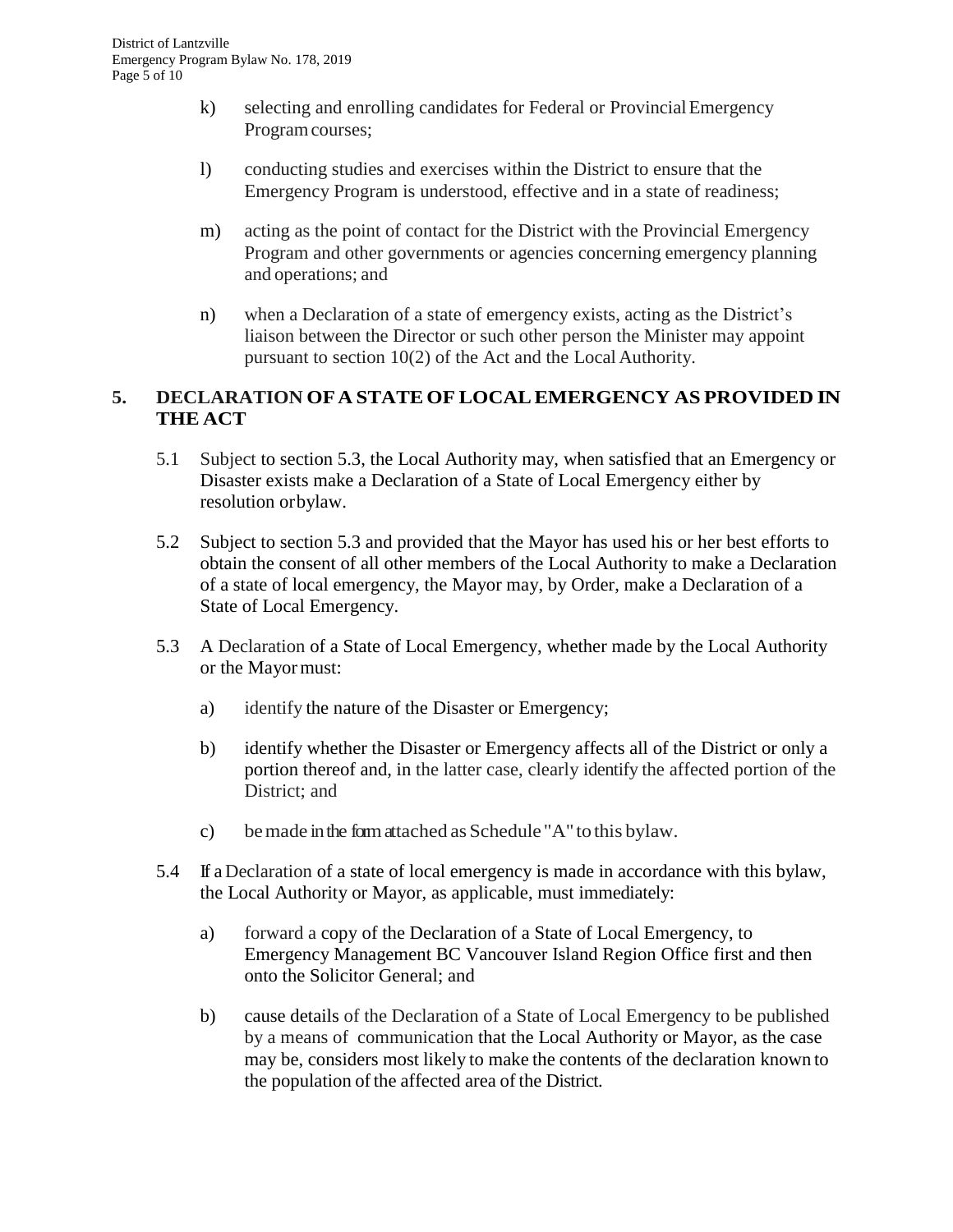- k) selecting and enrolling candidates for Federal or ProvincialEmergency Programcourses;
- l) conducting studies and exercises within the District to ensure that the Emergency Program is understood, effective and in a state of readiness;
- m) acting as the point of contact for the District with the Provincial Emergency Program and other governments or agencies concerning emergency planning and operations; and
- n) when a Declaration of a state of emergency exists, acting as the District's liaison between the Director or such other person the Minister may appoint pursuant to section 10(2) of the Act and the Local Authority.

# **5. DECLARATION OFA STATE OF LOCALEMERGENCY AS PROVIDED IN THE ACT**

- 5.1 Subject to section 5.3, the Local Authority may, when satisfied that an Emergency or Disaster exists make a Declaration of a State of Local Emergency either by resolution orbylaw.
- 5.2 Subject to section 5.3 and provided that the Mayor has used his or her best efforts to obtain the consent of all other members of the Local Authority to make a Declaration of a state of local emergency, the Mayor may, by Order, make a Declaration of a State of Local Emergency.
- 5.3 A Declaration of a State of Local Emergency, whether made by the Local Authority or the Mayormust:
	- a) identify the nature of the Disaster or Emergency;
	- b) identify whether the Disaster or Emergency affects all of the District or only a portion thereof and, in the latter case, clearly identify the affected portion of the District; and
	- c) bemade inthe form attached as Schedule "A" to this bylaw.
- 5.4 If a Declaration of a state of local emergency is made in accordance with this bylaw, the Local Authority or Mayor, as applicable, must immediately:
	- a) forward a copy of the Declaration of a State of Local Emergency, to Emergency Management BC Vancouver Island Region Office first and then onto the Solicitor General; and
	- b) cause details of the Declaration of a State of Local Emergency to be published by a means of communication that the Local Authority or Mayor, as the case may be, considers most likely to make the contents of the declaration known to the population of the affected area of the District.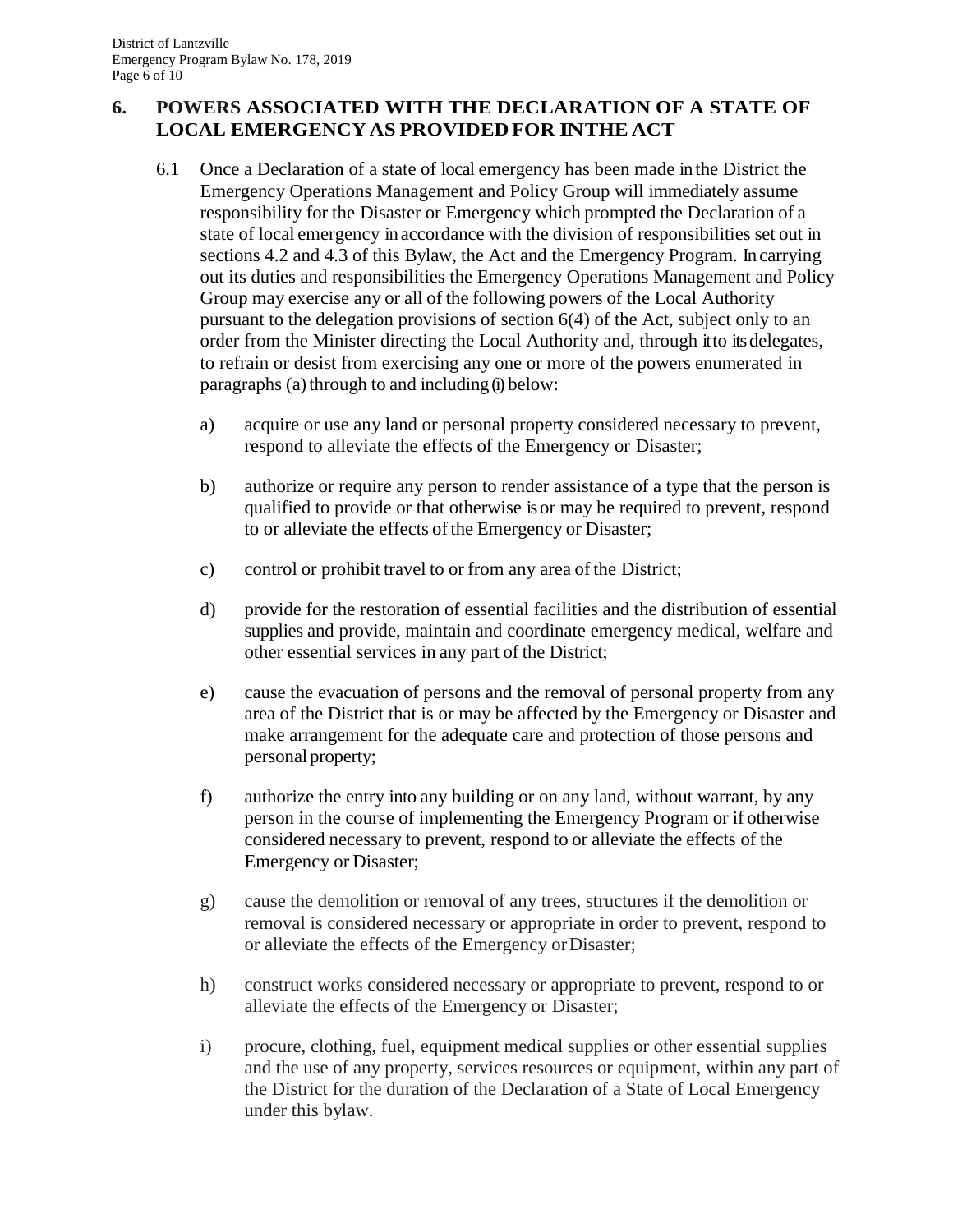# **6. POWERS ASSOCIATED WITH THE DECLARATION OF A STATE OF LOCAL EMERGENCYAS PROVIDEDFOR INTHE ACT**

- 6.1 Once a Declaration of a state of local emergency has been made in the District the Emergency Operations Management and Policy Group will immediately assume responsibility for the Disaster or Emergency which prompted the Declaration of a state of local emergency inaccordance with the division of responsibilities set out in sections 4.2 and 4.3 of this Bylaw, the Act and the Emergency Program. In carrying out its duties and responsibilities the Emergency Operations Management and Policy Group may exercise any or all of the following powers of the Local Authority pursuant to the delegation provisions of section 6(4) of the Act, subject only to an order from the Minister directing the Local Authority and, through it to its delegates, to refrain or desist from exercising any one or more of the powers enumerated in paragraphs (a) through to and including (i) below:
	- a) acquire or use any land or personal property considered necessary to prevent, respond to alleviate the effects of the Emergency or Disaster;
	- b) authorize or require any person to render assistance of a type that the person is qualified to provide or that otherwise is or may be required to prevent, respond to or alleviate the effects of the Emergency or Disaster;
	- c) control or prohibit travel to or from any area of the District;
	- d) provide for the restoration of essential facilities and the distribution of essential supplies and provide, maintain and coordinate emergency medical, welfare and other essential services in any part of the District;
	- e) cause the evacuation of persons and the removal of personal property from any area of the District that is or may be affected by the Emergency or Disaster and make arrangement for the adequate care and protection of those persons and personal property;
	- f) authorize the entry into any building or on any land, without warrant, by any person in the course of implementing the Emergency Program or if otherwise considered necessary to prevent, respond to or alleviate the effects of the Emergency or Disaster;
	- g) cause the demolition or removal of any trees, structures if the demolition or removal is considered necessary or appropriate in order to prevent, respond to or alleviate the effects of the Emergency orDisaster;
	- h) construct works considered necessary or appropriate to prevent, respond to or alleviate the effects of the Emergency or Disaster;
	- i) procure, clothing, fuel, equipment medical supplies or other essential supplies and the use of any property, services resources or equipment, within any part of the District for the duration of the Declaration of a State of Local Emergency under this bylaw.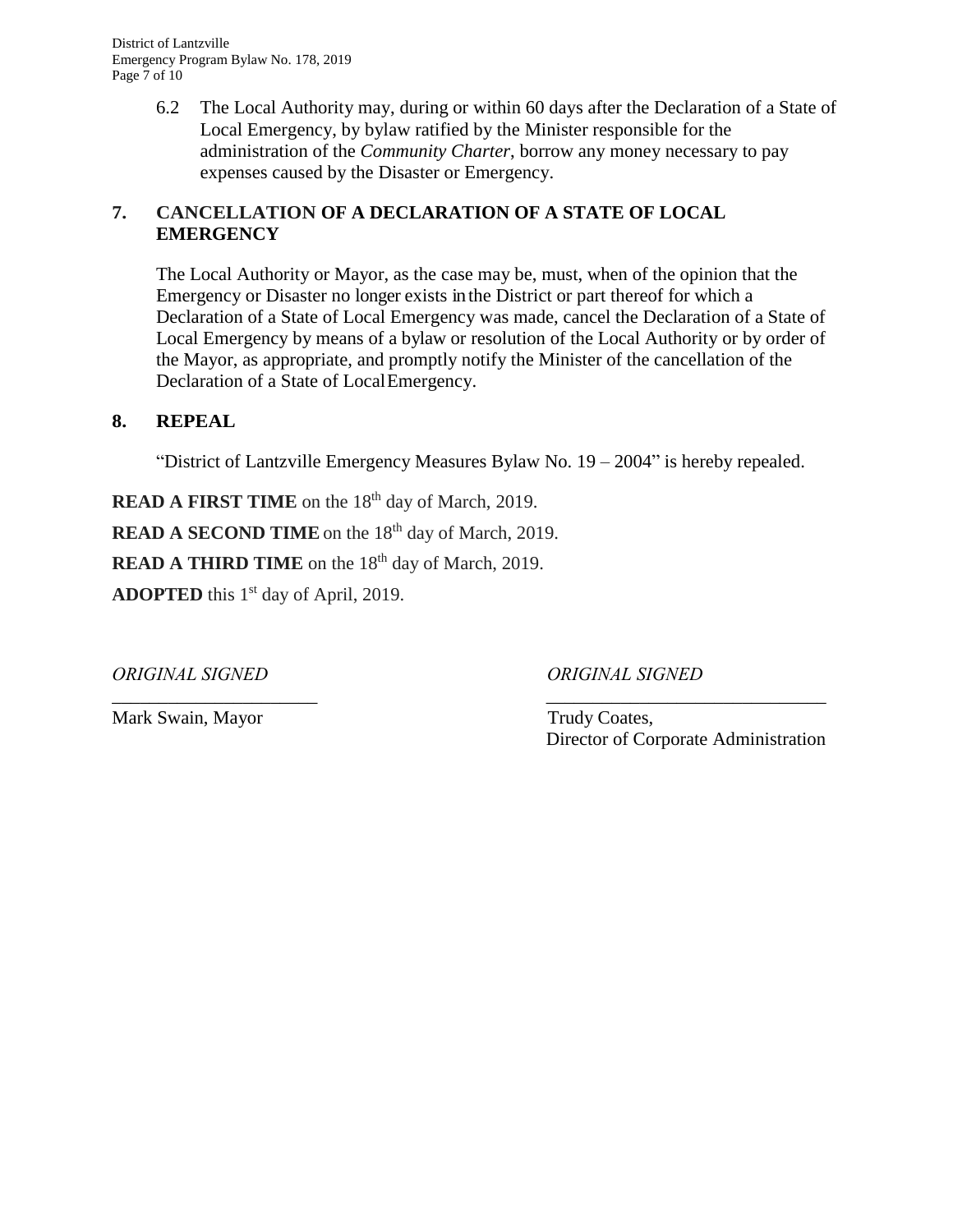District of Lantzville Emergency Program Bylaw No. 178, 2019 Page 7 of 10

> 6.2 The Local Authority may, during or within 60 days after the Declaration of a State of Local Emergency, by bylaw ratified by the Minister responsible for the administration of the *Community Charter*, borrow any money necessary to pay expenses caused by the Disaster or Emergency.

# **7. CANCELLATION OF A DECLARATION OF A STATE OF LOCAL EMERGENCY**

The Local Authority or Mayor, as the case may be, must, when of the opinion that the Emergency or Disaster no longer exists in the District or part thereof for which a Declaration of a State of Local Emergency was made, cancel the Declaration of a State of Local Emergency by means of a bylaw or resolution of the Local Authority or by order of the Mayor, as appropriate, and promptly notify the Minister of the cancellation of the Declaration of a State of LocalEmergency.

#### **8. REPEAL**

"District of Lantzville Emergency Measures Bylaw No. 19 – 2004" is hereby repealed.

 $\frac{1}{2}$  ,  $\frac{1}{2}$  ,  $\frac{1}{2}$  ,  $\frac{1}{2}$  ,  $\frac{1}{2}$  ,  $\frac{1}{2}$  ,  $\frac{1}{2}$  ,  $\frac{1}{2}$  ,  $\frac{1}{2}$  ,  $\frac{1}{2}$  ,  $\frac{1}{2}$  ,  $\frac{1}{2}$  ,  $\frac{1}{2}$  ,  $\frac{1}{2}$  ,  $\frac{1}{2}$  ,  $\frac{1}{2}$  ,  $\frac{1}{2}$  ,  $\frac{1}{2}$  ,  $\frac{1$ 

**READ A FIRST TIME** on the 18<sup>th</sup> day of March, 2019.

**READ A SECOND TIME** on the 18<sup>th</sup> day of March, 2019.

**READ A THIRD TIME** on the 18<sup>th</sup> day of March, 2019.

ADOPTED this 1<sup>st</sup> day of April, 2019.

*ORIGINAL SIGNED ORIGINAL SIGNED*

Mark Swain, Mayor Trudy Coates,

Director of Corporate Administration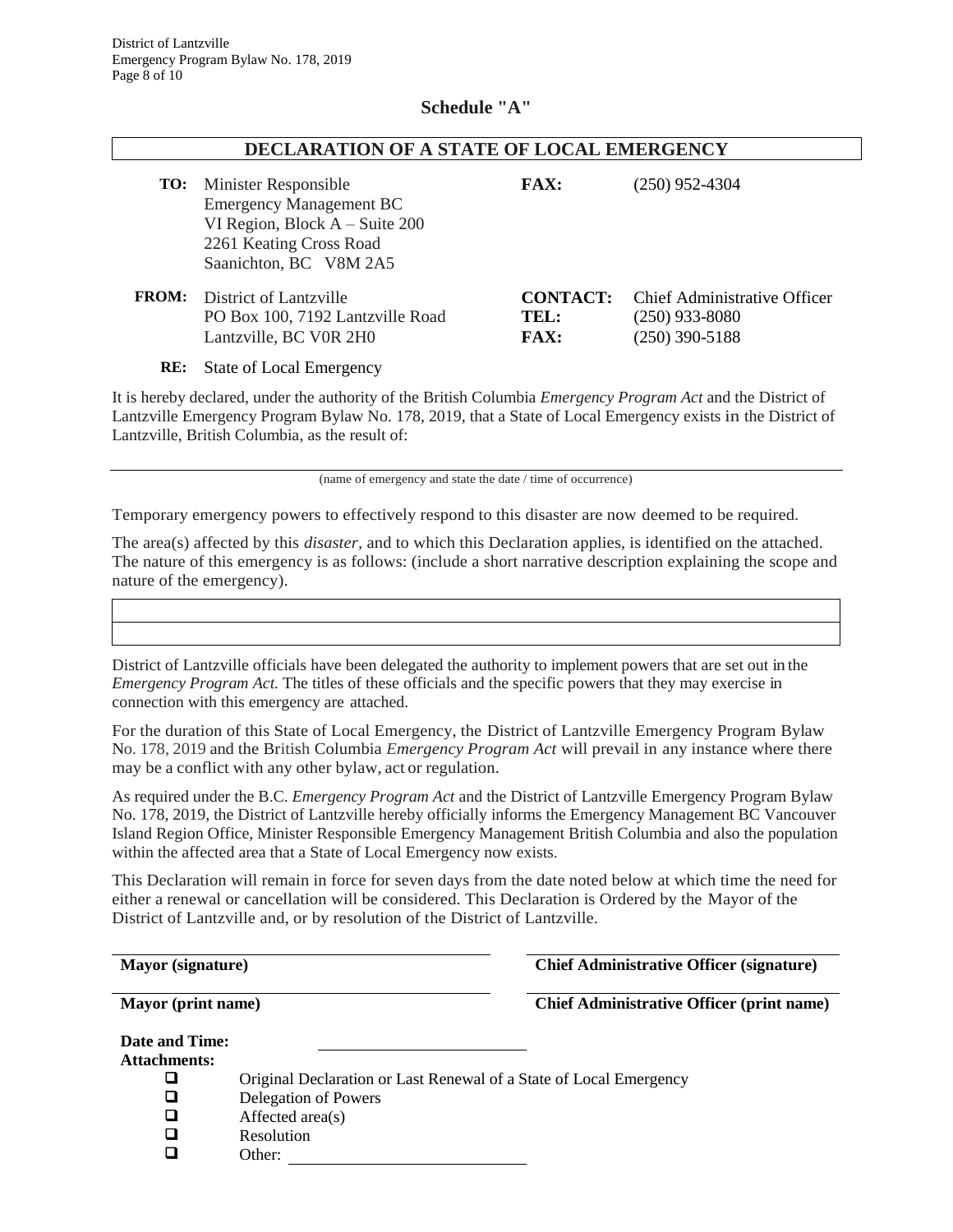#### **Schedule "A"**

| DECLARATION OF A STATE OF LOCAL EMERGENCY |                                                                                                                                                  |                                        |                                                                      |  |  |
|-------------------------------------------|--------------------------------------------------------------------------------------------------------------------------------------------------|----------------------------------------|----------------------------------------------------------------------|--|--|
| TO:                                       | Minister Responsible<br><b>Emergency Management BC</b><br>VI Region, Block $A - S$ uite 200<br>2261 Keating Cross Road<br>Saanichton, BC V8M 2A5 | <b>FAX:</b>                            | $(250)$ 952-4304                                                     |  |  |
| <b>FROM:</b>                              | District of Lantzville<br>PO Box 100, 7192 Lantzville Road<br>Lantzville, BC V0R 2H0                                                             | <b>CONTACT:</b><br>TEL:<br><b>FAX:</b> | Chief Administrative Officer<br>$(250)$ 933-8080<br>$(250)$ 390-5188 |  |  |
| RE:                                       | <b>State of Local Emergency</b>                                                                                                                  |                                        |                                                                      |  |  |

It is hereby declared, under the authority of the British Columbia *Emergency Program Act* and the District of Lantzville Emergency Program Bylaw No. 178, 2019, that a State of Local Emergency exists in the District of Lantzville, British Columbia, as the result of:

(name of emergency and state the date / time of occurrence)

Temporary emergency powers to effectively respond to this disaster are now deemed to be required.

The area(s) affected by this *disaster,* and to which this Declaration applies, is identified on the attached. The nature of this emergency is as follows: (include a short narrative description explaining the scope and nature of the emergency).

District of Lantzville officials have been delegated the authority to implement powers that are set out in the *Emergency Program Act.* The titles of these officials and the specific powers that they may exercise in connection with this emergency are attached.

For the duration of this State of Local Emergency, the District of Lantzville Emergency Program Bylaw No. 178, 2019 and the British Columbia *Emergency Program Act* will prevail in any instance where there may be a conflict with any other bylaw, act or regulation.

As required under the B.C. *Emergency Program Act* and the District of Lantzville Emergency Program Bylaw No. 178, 2019, the District of Lantzville hereby officially informs the Emergency Management BC Vancouver Island Region Office, Minister Responsible Emergency Management British Columbia and also the population within the affected area that a State of Local Emergency now exists.

This Declaration will remain in force for seven days from the date noted below at which time the need for either a renewal or cancellation will be considered. This Declaration is Ordered by the Mayor of the District of Lantzville and, or by resolution of the District of Lantzville.

**Mayor (signature) Chief Administrative Officer (signature)**

**Mayor (print name) Chief Administrative Officer (print name)**

| Date and Time:      |                                                                    |
|---------------------|--------------------------------------------------------------------|
| <b>Attachments:</b> |                                                                    |
| ப                   | Original Declaration or Last Renewal of a State of Local Emergency |
| □                   | Delegation of Powers                                               |
| □                   | Affected $area(s)$                                                 |
| □                   | Resolution                                                         |
| П                   | Other:                                                             |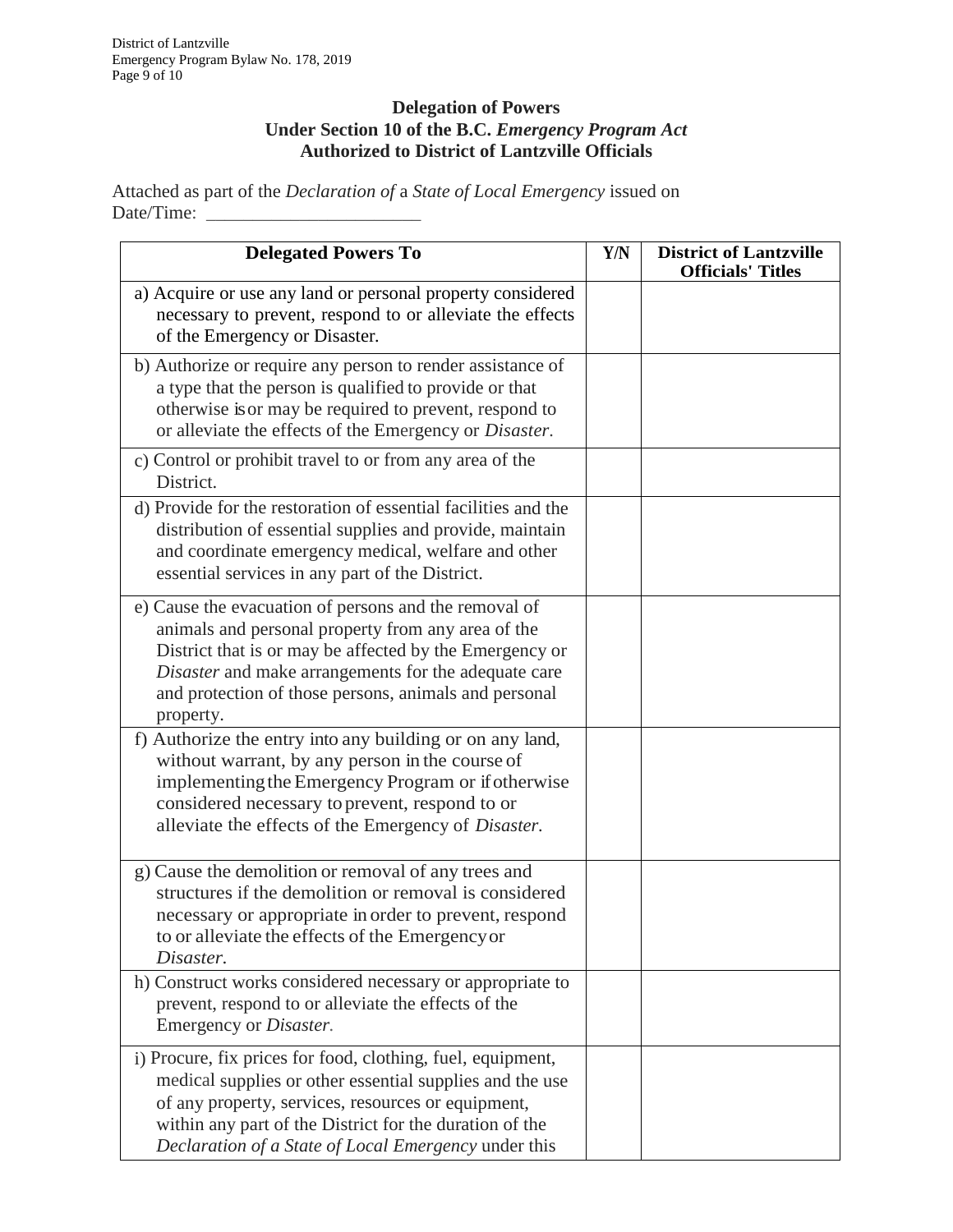Bylaw.

## **Delegation of Powers Under Section 10 of the B.C.** *Emergency Program Act* **Authorized to District of Lantzville Officials**

Attached as part of the *Declaration of* a *State of Local Emergency* issued on Date/Time:

| <b>Delegated Powers To</b>                                                                                                                                                                                                                                                                           | Y/N | <b>District of Lantzville</b><br><b>Officials' Titles</b> |
|------------------------------------------------------------------------------------------------------------------------------------------------------------------------------------------------------------------------------------------------------------------------------------------------------|-----|-----------------------------------------------------------|
| a) Acquire or use any land or personal property considered<br>necessary to prevent, respond to or alleviate the effects<br>of the Emergency or Disaster.                                                                                                                                             |     |                                                           |
| b) Authorize or require any person to render assistance of<br>a type that the person is qualified to provide or that<br>otherwise is or may be required to prevent, respond to<br>or alleviate the effects of the Emergency or Disaster.                                                             |     |                                                           |
| c) Control or prohibit travel to or from any area of the<br>District.                                                                                                                                                                                                                                |     |                                                           |
| d) Provide for the restoration of essential facilities and the<br>distribution of essential supplies and provide, maintain<br>and coordinate emergency medical, welfare and other<br>essential services in any part of the District.                                                                 |     |                                                           |
| e) Cause the evacuation of persons and the removal of<br>animals and personal property from any area of the<br>District that is or may be affected by the Emergency or<br>Disaster and make arrangements for the adequate care<br>and protection of those persons, animals and personal<br>property. |     |                                                           |
| f) Authorize the entry into any building or on any land,<br>without warrant, by any person in the course of<br>implementing the Emergency Program or if otherwise<br>considered necessary to prevent, respond to or<br>alleviate the effects of the Emergency of Disaster.                           |     |                                                           |
| g) Cause the demolition or removal of any trees and<br>structures if the demolition or removal is considered<br>necessary or appropriate in order to prevent, respond<br>to or alleviate the effects of the Emergency or<br>Disaster.                                                                |     |                                                           |
| h) Construct works considered necessary or appropriate to<br>prevent, respond to or alleviate the effects of the<br>Emergency or Disaster.                                                                                                                                                           |     |                                                           |
| i) Procure, fix prices for food, clothing, fuel, equipment,<br>medical supplies or other essential supplies and the use<br>of any property, services, resources or equipment,<br>within any part of the District for the duration of the<br>Declaration of a State of Local Emergency under this     |     |                                                           |